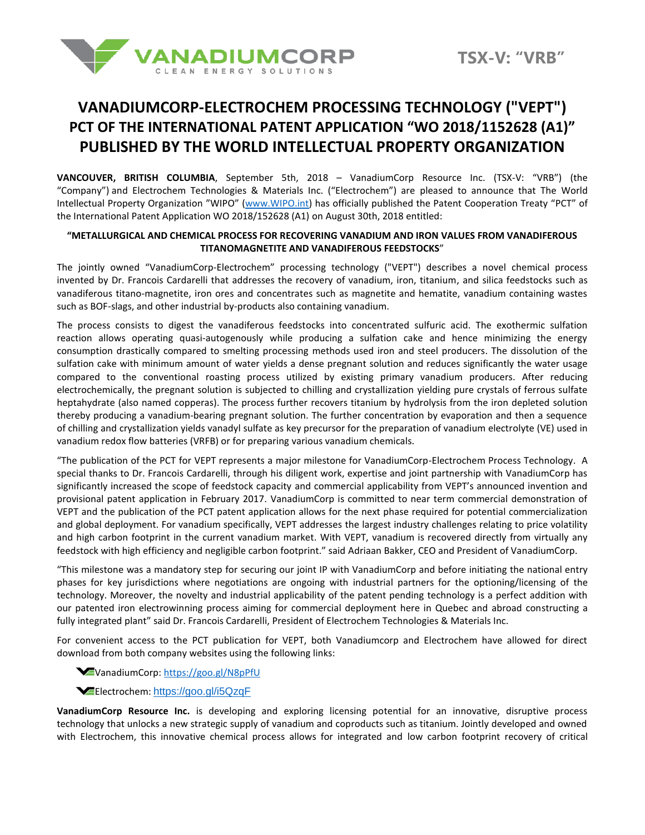

# **VANADIUMCORP-ELECTROCHEM PROCESSING TECHNOLOGY ("VEPT") PCT OF THE INTERNATIONAL PATENT APPLICATION "WO 2018/1152628 (A1)" PUBLISHED BY THE WORLD INTELLECTUAL PROPERTY ORGANIZATION**

**VANCOUVER, BRITISH COLUMBIA**, September 5th, 2018 – VanadiumCorp Resource Inc. (TSX-V: "VRB") (the "Company") and Electrochem Technologies & Materials Inc. ("Electrochem") are pleased to announce that The World Intellectual Property Organization "WIPO" [\(www.WIPO.int\)](http://www.wipo.int/) has officially published the Patent Cooperation Treaty "PCT" of the International Patent Application WO 2018/152628 (A1) on August 30th, 2018 entitled:

### **"METALLURGICAL AND CHEMICAL PROCESS FOR RECOVERING VANADIUM AND IRON VALUES FROM VANADIFEROUS TITANOMAGNETITE AND VANADIFEROUS FEEDSTOCKS**"

The jointly owned "VanadiumCorp-Electrochem" processing technology ("VEPT") describes a novel chemical process invented by Dr. Francois Cardarelli that addresses the recovery of vanadium, iron, titanium, and silica feedstocks such as vanadiferous titano-magnetite, iron ores and concentrates such as magnetite and hematite, vanadium containing wastes such as BOF-slags, and other industrial by-products also containing vanadium.

The process consists to digest the vanadiferous feedstocks into concentrated sulfuric acid. The exothermic sulfation reaction allows operating quasi-autogenously while producing a sulfation cake and hence minimizing the energy consumption drastically compared to smelting processing methods used iron and steel producers. The dissolution of the sulfation cake with minimum amount of water yields a dense pregnant solution and reduces significantly the water usage compared to the conventional roasting process utilized by existing primary vanadium producers. After reducing electrochemically, the pregnant solution is subjected to chilling and crystallization yielding pure crystals of ferrous sulfate heptahydrate (also named copperas). The process further recovers titanium by hydrolysis from the iron depleted solution thereby producing a vanadium-bearing pregnant solution. The further concentration by evaporation and then a sequence of chilling and crystallization yields vanadyl sulfate as key precursor for the preparation of vanadium electrolyte (VE) used in vanadium redox flow batteries (VRFB) or for preparing various vanadium chemicals.

"The publication of the PCT for VEPT represents a major milestone for VanadiumCorp-Electrochem Process Technology. A special thanks to Dr. Francois Cardarelli, through his diligent work, expertise and joint partnership with VanadiumCorp has significantly increased the scope of feedstock capacity and commercial applicability from VEPT's announced invention and provisional patent application in February 2017. VanadiumCorp is committed to near term commercial demonstration of VEPT and the publication of the PCT patent application allows for the next phase required for potential commercialization and global deployment. For vanadium specifically, VEPT addresses the largest industry challenges relating to price volatility and high carbon footprint in the current vanadium market. With VEPT, vanadium is recovered directly from virtually any feedstock with high efficiency and negligible carbon footprint." said Adriaan Bakker, CEO and President of VanadiumCorp.

"This milestone was a mandatory step for securing our joint IP with VanadiumCorp and before initiating the national entry phases for key jurisdictions where negotiations are ongoing with industrial partners for the optioning/licensing of the technology. Moreover, the novelty and industrial applicability of the patent pending technology is a perfect addition with our patented iron electrowinning process aiming for commercial deployment here in Quebec and abroad constructing a fully integrated plant" said Dr. Francois Cardarelli, President of Electrochem Technologies & Materials Inc.

For convenient access to the PCT publication for VEPT, both Vanadiumcorp and Electrochem have allowed for direct download from both company websites using the following links:

## VanadiumCorp[: https://goo.gl/N8pPfU](https://goo.gl/N8pPfU)

### Electrochem: <https://goo.gl/i5QzqF>

**VanadiumCorp Resource Inc.** is developing and exploring licensing potential for an innovative, disruptive process technology that unlocks a new strategic supply of vanadium and coproducts such as titanium. Jointly developed and owned with Electrochem, this innovative chemical process allows for integrated and low carbon footprint recovery of critical